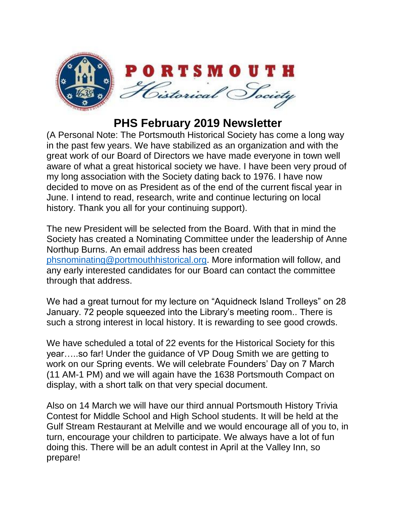

## **PHS February 2019 Newsletter**

(A Personal Note: The Portsmouth Historical Society has come a long way in the past few years. We have stabilized as an organization and with the great work of our Board of Directors we have made everyone in town well aware of what a great historical society we have. I have been very proud of my long association with the Society dating back to 1976. I have now decided to move on as President as of the end of the current fiscal year in June. I intend to read, research, write and continue lecturing on local history. Thank you all for your continuing support).

The new President will be selected from the Board. With that in mind the Society has created a Nominating Committee under the leadership of Anne Northup Burns. An email address has been created [phsnominating@portmouthhistorical.org.](mailto:phsnominating@portmouthhistorical.org) More information will follow, and any early interested candidates for our Board can contact the committee through that address.

We had a great turnout for my lecture on "Aquidneck Island Trolleys" on 28 January. 72 people squeezed into the Library's meeting room.. There is such a strong interest in local history. It is rewarding to see good crowds.

We have scheduled a total of 22 events for the Historical Society for this year…..so far! Under the guidance of VP Doug Smith we are getting to work on our Spring events. We will celebrate Founders' Day on 7 March (11 AM-1 PM) and we will again have the 1638 Portsmouth Compact on display, with a short talk on that very special document.

Also on 14 March we will have our third annual Portsmouth History Trivia Contest for Middle School and High School students. It will be held at the Gulf Stream Restaurant at Melville and we would encourage all of you to, in turn, encourage your children to participate. We always have a lot of fun doing this. There will be an adult contest in April at the Valley Inn, so prepare!